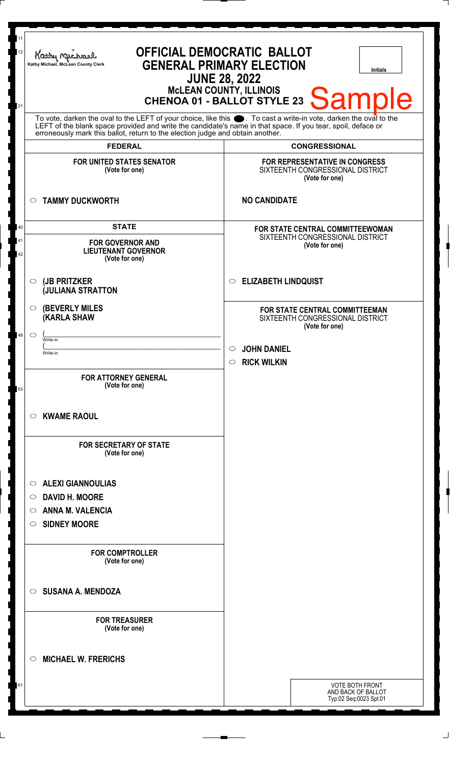| 11<br>12<br>21 | <b>OFFICIAL DEMOCRATIC BALLOT</b><br>Kathy Michael<br><b>GENERAL PRIMARY ELECTION</b><br>Kathy Michael, McLean County Clerk<br><b>Initials</b><br><b>JUNE 28, 2022</b><br>MCLEAN COUNTY, ILLINOIS<br>CHENOA 01 - BALLOT STYLE 23 Sample                                                                                |                                                                                                                       |
|----------------|------------------------------------------------------------------------------------------------------------------------------------------------------------------------------------------------------------------------------------------------------------------------------------------------------------------------|-----------------------------------------------------------------------------------------------------------------------|
|                | To vote, darken the oval to the LEFT of your choice, like this $\bullet$ . To cast a write-in vote, darken the oval to the LEFT of the blank space provided and write the candidate's name in that space. If you tear, spoil, deface<br>erroneously mark this ballot, return to the election judge and obtain another. |                                                                                                                       |
|                | <b>FEDERAL</b><br><b>FOR UNITED STATES SENATOR</b><br>(Vote for one)                                                                                                                                                                                                                                                   | <b>CONGRESSIONAL</b><br><b>FOR REPRESENTATIVE IN CONGRESS</b><br>SIXTEENTH CONGRESSIONAL DISTRICT<br>(Vote for one)   |
|                | <b>TAMMY DUCKWORTH</b><br>$\circ$                                                                                                                                                                                                                                                                                      | <b>NO CANDIDATE</b>                                                                                                   |
| 40<br>41<br>42 | <b>STATE</b><br><b>FOR GOVERNOR AND</b><br><b>LIEUTENANT GOVERNOR</b><br>(Vote for one)                                                                                                                                                                                                                                | FOR STATE CENTRAL COMMITTEEWOMAN<br>SIXTEENTH CONGRESSIONAL DISTRICT<br>(Vote for one)                                |
|                | (JB PRITZKER<br>◯<br><b>JULIANA STRATTON</b>                                                                                                                                                                                                                                                                           | <b>ELIZABETH LINDQUIST</b><br>$\circ$                                                                                 |
| 48             | <b>(BEVERLY MILES)</b><br>$\circ$<br>(KARLA SHAW<br>$\circlearrowright$<br>Write-in                                                                                                                                                                                                                                    | FOR STATE CENTRAL COMMITTEEMAN<br>SIXTEENTH CONGRESSIONAL DISTRICT<br>(Vote for one)<br><b>JOHN DANIEL</b><br>$\circ$ |
| 53             | Write-in<br><b>FOR ATTORNEY GENERAL</b><br>(Vote for one)                                                                                                                                                                                                                                                              | <b>RICK WILKIN</b><br>$\circ$                                                                                         |
|                | <b>KWAME RAOUL</b><br>$\circ$                                                                                                                                                                                                                                                                                          |                                                                                                                       |
|                | <b>FOR SECRETARY OF STATE</b><br>(Vote for one)                                                                                                                                                                                                                                                                        |                                                                                                                       |
|                | <b>ALEXI GIANNOULIAS</b><br>$\circ$<br><b>DAVID H. MOORE</b><br>$\circ$<br><b>ANNA M. VALENCIA</b><br>◯<br><b>SIDNEY MOORE</b><br>O                                                                                                                                                                                    |                                                                                                                       |
|                | <b>FOR COMPTROLLER</b><br>(Vote for one)                                                                                                                                                                                                                                                                               |                                                                                                                       |
|                | <b>SUSANA A. MENDOZA</b><br>$\bigcirc$                                                                                                                                                                                                                                                                                 |                                                                                                                       |
|                | <b>FOR TREASURER</b><br>(Vote for one)                                                                                                                                                                                                                                                                                 |                                                                                                                       |
|                | <b>MICHAEL W. FRERICHS</b><br>◯                                                                                                                                                                                                                                                                                        |                                                                                                                       |
| 61             |                                                                                                                                                                                                                                                                                                                        | <b>VOTE BOTH FRONT</b><br>AND BACK OF BALLOT<br>Typ:02 Seq:0023 Spl:01                                                |
|                |                                                                                                                                                                                                                                                                                                                        |                                                                                                                       |

 $\perp$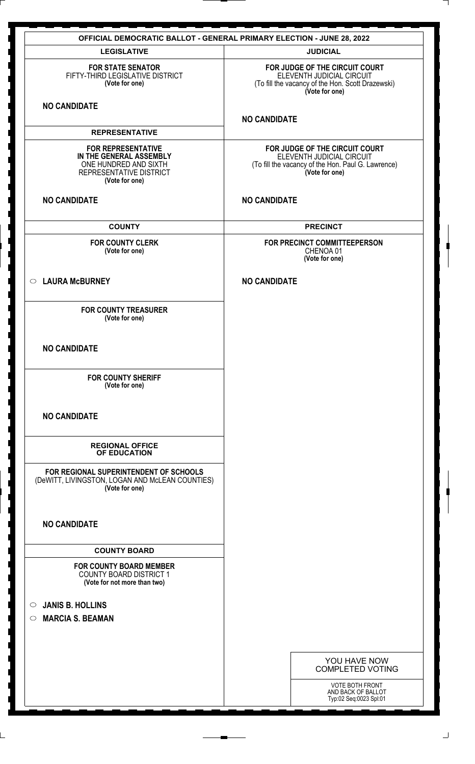| <b>OFFICIAL DEMOCRATIC BALLOT - GENERAL PRIMARY ELECTION - JUNE 28, 2022</b>                                               |                                                                                                                                     |
|----------------------------------------------------------------------------------------------------------------------------|-------------------------------------------------------------------------------------------------------------------------------------|
| <b>LEGISLATIVE</b>                                                                                                         | <b>JUDICIAL</b>                                                                                                                     |
| <b>FOR STATE SENATOR</b><br>FIFTY-THIRD LEGISLATIVE DISTRICT<br>(Vote for one)                                             | FOR JUDGE OF THE CIRCUIT COURT<br>ELEVENTH JUDICIAL CIRCUIT<br>(To fill the vacancy of the Hon. Scott Drazewski)<br>(Vote for one)  |
| <b>NO CANDIDATE</b>                                                                                                        | <b>NO CANDIDATE</b>                                                                                                                 |
| <b>REPRESENTATIVE</b>                                                                                                      |                                                                                                                                     |
| <b>FOR REPRESENTATIVE</b><br>IN THE GENERAL ASSEMBLY<br>ONE HUNDRED AND SIXTH<br>REPRESENTATIVE DISTRICT<br>(Vote for one) | FOR JUDGE OF THE CIRCUIT COURT<br>ELEVENTH JUDICIAL CIRCUIT<br>(To fill the vacancy of the Hon. Paul G. Lawrence)<br>(Vote for one) |
| <b>NO CANDIDATE</b>                                                                                                        | <b>NO CANDIDATE</b>                                                                                                                 |
| <b>COUNTY</b>                                                                                                              | <b>PRECINCT</b>                                                                                                                     |
| <b>FOR COUNTY CLERK</b><br>(Vote for one)                                                                                  | FOR PRECINCT COMMITTEEPERSON<br>CHENOA 01<br>(Vote for one)                                                                         |
| <b>LAURA McBURNEY</b><br>$\circ$                                                                                           | <b>NO CANDIDATE</b>                                                                                                                 |
| <b>FOR COUNTY TREASURER</b><br>(Vote for one)                                                                              |                                                                                                                                     |
| <b>NO CANDIDATE</b>                                                                                                        |                                                                                                                                     |
| <b>FOR COUNTY SHERIFF</b><br>(Vote for one)                                                                                |                                                                                                                                     |
| <b>NO CANDIDATE</b>                                                                                                        |                                                                                                                                     |
| <b>REGIONAL OFFICE</b><br>OF EDUCATION                                                                                     |                                                                                                                                     |
| FOR REGIONAL SUPERINTENDENT OF SCHOOLS<br>(DeWITT, LIVINGSTON, LOGAN AND McLEAN COUNTIES)<br>(Vote for one)                |                                                                                                                                     |
| <b>NO CANDIDATE</b>                                                                                                        |                                                                                                                                     |
| <b>COUNTY BOARD</b>                                                                                                        |                                                                                                                                     |
| <b>FOR COUNTY BOARD MEMBER</b><br><b>COUNTY BOARD DISTRICT 1</b><br>(Vote for not more than two)                           |                                                                                                                                     |
| <b>JANIS B. HOLLINS</b><br>$\circ$                                                                                         |                                                                                                                                     |
| <b>MARCIA S. BEAMAN</b><br>$\circ$                                                                                         |                                                                                                                                     |
|                                                                                                                            |                                                                                                                                     |
|                                                                                                                            | YOU HAVE NOW                                                                                                                        |
|                                                                                                                            | <b>COMPLETED VOTING</b>                                                                                                             |
|                                                                                                                            | VOTE BOTH FRONT<br>AND BACK OF BALLOT<br>Typ:02 Seq:0023 Spl:01                                                                     |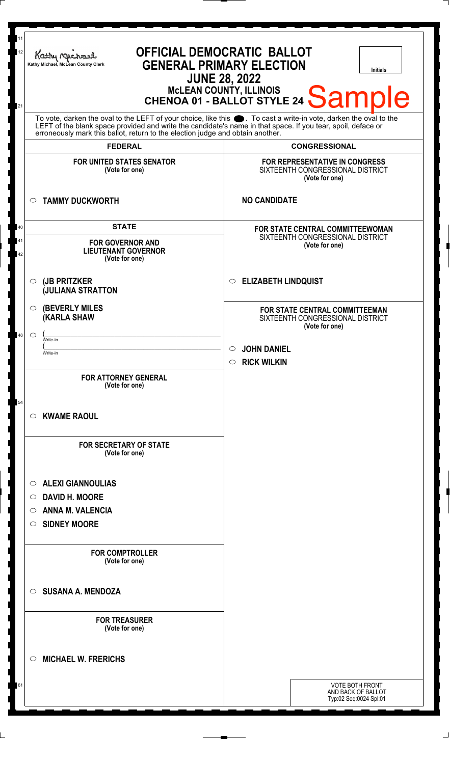| 11<br>12<br>21                                                                                                                                                                                                                                                                                                         | <b>OFFICIAL DEMOCRATIC BALLOT</b><br>Kathy r<br><b>GENERAL PRIMARY ELECTION</b><br>Kathy Michael, McLean County Clerk<br><b>Initials</b><br><b>JUNE 28, 2022</b><br>MCLEAN COUNTY, ILLINOIS<br>CHENOA 01 - BALLOT STYLE 24 Sample |                                                                                                                       |
|------------------------------------------------------------------------------------------------------------------------------------------------------------------------------------------------------------------------------------------------------------------------------------------------------------------------|-----------------------------------------------------------------------------------------------------------------------------------------------------------------------------------------------------------------------------------|-----------------------------------------------------------------------------------------------------------------------|
| To vote, darken the oval to the LEFT of your choice, like this $\bullet$ . To cast a write-in vote, darken the oval to the LEFT of the blank space provided and write the candidate's name in that space. If you tear, spoil, deface<br>erroneously mark this ballot, return to the election judge and obtain another. |                                                                                                                                                                                                                                   | <b>CONGRESSIONAL</b>                                                                                                  |
|                                                                                                                                                                                                                                                                                                                        | <b>FEDERAL</b><br>FOR UNITED STATES SENATOR<br>(Vote for one)                                                                                                                                                                     | FOR REPRESENTATIVE IN CONGRESS<br>SIXTEENTH CONGRESSIONAL DISTRICT<br>(Vote for one)                                  |
|                                                                                                                                                                                                                                                                                                                        | <b>TAMMY DUCKWORTH</b><br>$\circ$                                                                                                                                                                                                 | <b>NO CANDIDATE</b>                                                                                                   |
| 40<br>41<br>42                                                                                                                                                                                                                                                                                                         | <b>STATE</b><br><b>FOR GOVERNOR AND</b><br><b>LIEUTENANT GOVERNOR</b><br>(Vote for one)                                                                                                                                           | FOR STATE CENTRAL COMMITTEEWOMAN<br>SIXTEENTH CONGRESSIONAL DISTRICT<br>(Vote for one)                                |
|                                                                                                                                                                                                                                                                                                                        | (JB PRITZKER<br>$\circ$<br><b>JULIANA STRATTON</b>                                                                                                                                                                                | <b>ELIZABETH LINDQUIST</b><br>$\circ$                                                                                 |
| 48                                                                                                                                                                                                                                                                                                                     | <b>(BEVERLY MILES)</b><br>O<br><b>(KARLA SHAW</b><br>$\circ$<br>Write-in                                                                                                                                                          | FOR STATE CENTRAL COMMITTEEMAN<br>SIXTEENTH CONGRESSIONAL DISTRICT<br>(Vote for one)<br><b>JOHN DANIEL</b><br>$\circ$ |
| 54                                                                                                                                                                                                                                                                                                                     | Write-in<br><b>FOR ATTORNEY GENERAL</b><br>(Vote for one)                                                                                                                                                                         | $\circ$ RICK WILKIN                                                                                                   |
|                                                                                                                                                                                                                                                                                                                        | <b>KWAME RAOUL</b><br>$\circ$                                                                                                                                                                                                     |                                                                                                                       |
|                                                                                                                                                                                                                                                                                                                        | <b>FOR SECRETARY OF STATE</b><br>(Vote for one)                                                                                                                                                                                   |                                                                                                                       |
|                                                                                                                                                                                                                                                                                                                        | <b>ALEXI GIANNOULIAS</b><br>O<br><b>DAVID H. MOORE</b><br>O<br><b>ANNA M. VALENCIA</b><br>O<br><b>SIDNEY MOORE</b><br>$\circ$                                                                                                     |                                                                                                                       |
|                                                                                                                                                                                                                                                                                                                        | <b>FOR COMPTROLLER</b><br>(Vote for one)                                                                                                                                                                                          |                                                                                                                       |
|                                                                                                                                                                                                                                                                                                                        | <b>SUSANA A. MENDOZA</b><br>◯                                                                                                                                                                                                     |                                                                                                                       |
|                                                                                                                                                                                                                                                                                                                        | <b>FOR TREASURER</b><br>(Vote for one)                                                                                                                                                                                            |                                                                                                                       |
|                                                                                                                                                                                                                                                                                                                        | <b>MICHAEL W. FRERICHS</b><br>O                                                                                                                                                                                                   |                                                                                                                       |
| 61                                                                                                                                                                                                                                                                                                                     |                                                                                                                                                                                                                                   | VOTE BOTH FRONT<br>AND BACK OF BALLOT<br>Typ:02 Seq:0024 Spl:01                                                       |